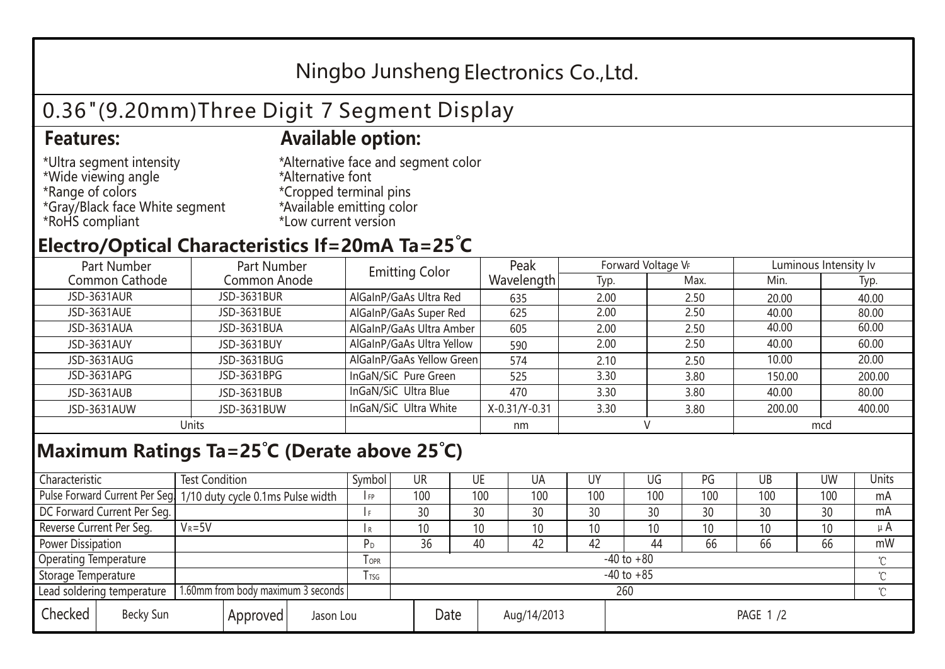## Ningbo Junsheng Electronics Co.,Ltd.

# 0.36"(9.20mm)Three Digit 7 Segment Display

#### **Features: Available option:**

- \*Ultra segment intensity \*Wide viewing angle \*Range of colors \*Gray/Black face White segment \*RoHS compliant
- \*Alternative face and segment color \*Alternative font \*Cropped terminal pins \*Available emitting color \*Low current version

### **Electro/Optical Characteristics If=20mA Ta=25 C**

| Part Number<br>Part Number |              | <b>Emitting Color</b>     | Peak          | Forward Voltage VF |      | Luminous Intensity lv |        |  |
|----------------------------|--------------|---------------------------|---------------|--------------------|------|-----------------------|--------|--|
| Common Cathode             | Common Anode |                           | Wavelength    | Typ.               | Max. | Min.                  | Typ.   |  |
| JSD-3631AUR                | JSD-3631BUR  | AlGaInP/GaAs Ultra Red    | 635           | 2.00               | 2.50 | 20.00                 | 40.00  |  |
| JSD-3631AUE                | JSD-3631BUE  | AlGaInP/GaAs Super Red    | 625           | 2.00               | 2.50 | 40.00                 | 80.00  |  |
| JSD-3631AUA                | JSD-3631BUA  | AlGaInP/GaAs Ultra Amber  | 605           | 2.00               | 2.50 | 40.00                 | 60.00  |  |
| JSD-3631AUY                | JSD-3631BUY  | AlGaInP/GaAs Ultra Yellow | 590           | 2.00               | 2.50 | 40.00                 | 60.00  |  |
| JSD-3631AUG                | JSD-3631BUG  | AlGaInP/GaAs Yellow Green | 574           | 2.10               | 2.50 | 10.00                 | 20.00  |  |
| JSD-3631APG                | JSD-3631BPG  | InGaN/SiC Pure Green      | 525           | 3.30               | 3.80 | 150.00                | 200.00 |  |
| JSD-3631AUB                | JSD-3631BUB  | InGaN/SiC Ultra Blue      | 470           | 3.30               | 3.80 | 40.00                 | 80.00  |  |
| JSD-3631AUW                | JSD-3631BUW  | InGaN/SiC Ultra White     | X-0.31/Y-0.31 | 3.30               | 3.80 | 200.00                | 400.00 |  |
| Units                      |              |                           | nm            |                    |      | mcd                   |        |  |

### **Maximum Ratings Ta=25°C (Derate above 25°C)**

| Characteristic                                |  | <b>Test Condition</b>                                           |                         |                     | Symbol | <b>UR</b> |  | UE       | UA              | UY  | UG  | PG  | UB       | <b>UW</b> | <b>Units</b> |
|-----------------------------------------------|--|-----------------------------------------------------------------|-------------------------|---------------------|--------|-----------|--|----------|-----------------|-----|-----|-----|----------|-----------|--------------|
|                                               |  | Pulse Forward Current Per Seg 1/10 duty cycle 0.1ms Pulse width |                         |                     | I FP   | 100       |  | 100      | 100             | 100 | 100 | 100 | 100      | 100       | mA           |
| DC Forward Current Per Seg.                   |  |                                                                 |                         |                     |        | 30        |  | 30       | 30              | 30  | 30  | 30  | 30       | 30        | mA           |
| Reverse Current Per Seg.                      |  | $V_R = 5V$                                                      |                         |                     | l R    | 10        |  | 10       | 10 <sup>°</sup> | 10  | 10  | 10  | 10       | 10        | $\mu$ A      |
| <b>Power Dissipation</b>                      |  |                                                                 |                         |                     | РD     | 36        |  | 40       | 42              | 42  | 44  | 66  | 66       | 66        | mW           |
| <b>Operating Temperature</b>                  |  |                                                                 | <b>TOPR</b>             | $-40$ to $+80$      |        |           |  |          |                 |     |     |     | $\gamma$ |           |              |
| Storage Temperature                           |  |                                                                 | <b>T</b> <sub>rsg</sub> | $-40$ to $+85$      |        |           |  |          |                 |     |     |     | °C       |           |              |
| Lead soldering temperature                    |  | 1.60mm from body maximum 3 seconds                              |                         |                     |        | 260<br>≧  |  |          |                 |     |     |     |          |           |              |
| Checked<br>Becky Sun<br>Approved<br>Jason Lou |  |                                                                 |                         | Date<br>Aug/14/2013 |        |           |  | PAGE 1/2 |                 |     |     |     |          |           |              |